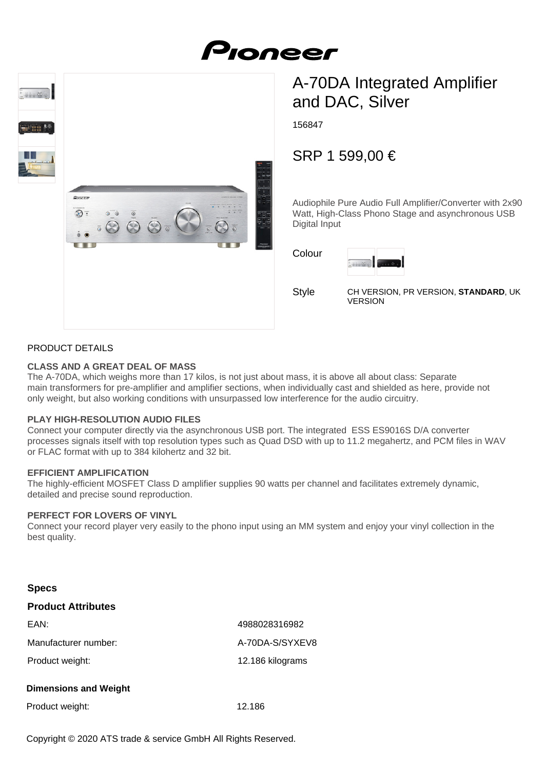# Proneer



## A-70DA Integrated Amplifier and DAC, Silver

156847

### SRP 1 599,00 €

Audiophile Pure Audio Full Amplifier/Converter with 2x90 Watt, High-Class Phono Stage and asynchronous USB Digital Input

Colour



Style

CH VERSION, PR VERSION, **STANDARD**, UK VERSION

#### PRODUCT DETAILS

#### **CLASS AND A GREAT DEAL OF MASS**

The A-70DA, which weighs more than 17 kilos, is not just about mass, it is above all about class: Separate main transformers for pre-amplifier and amplifier sections, when individually cast and shielded as here, provide not only weight, but also working conditions with unsurpassed low interference for the audio circuitry.

#### **PLAY HIGH-RESOLUTION AUDIO FILES**

Connect your computer directly via the asynchronous USB port. The integrated ESS ES9016S D/A converter processes signals itself with top resolution types such as Quad DSD with up to 11.2 megahertz, and PCM files in WAV or FLAC format with up to 384 kilohertz and 32 bit.

#### **EFFICIENT AMPLIFICATION**

The highly-efficient MOSFET Class D amplifier supplies 90 watts per channel and facilitates extremely dynamic, detailed and precise sound reproduction.

#### **PERFECT FOR LOVERS OF VINYL**

Connect your record player very easily to the phono input using an MM system and enjoy your vinyl collection in the best quality.

| <b>Specs</b>                 |                  |
|------------------------------|------------------|
| <b>Product Attributes</b>    |                  |
| EAN:                         | 4988028316982    |
| Manufacturer number:         | A-70DA-S/SYXEV8  |
| Product weight:              | 12.186 kilograms |
| <b>Dimensions and Weight</b> |                  |
| Product weight:              | 12.186           |

Copyright © 2020 ATS trade & service GmbH All Rights Reserved.